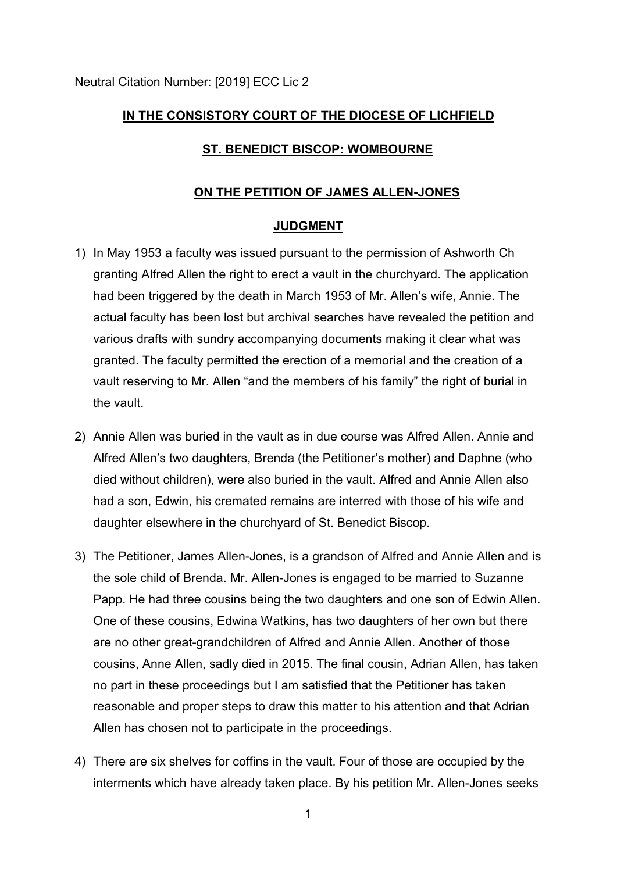# **IN THE CONSISTORY COURT OF THE DIOCESE OF LICHFIELD**

## **ST. BENEDICT BISCOP: WOMBOURNE**

### **ON THE PETITION OF JAMES ALLEN-JONES**

### **JUDGMENT**

- 1) In May 1953 a faculty was issued pursuant to the permission of Ashworth Ch granting Alfred Allen the right to erect a vault in the churchyard. The application had been triggered by the death in March 1953 of Mr. Allen's wife, Annie. The actual faculty has been lost but archival searches have revealed the petition and various drafts with sundry accompanying documents making it clear what was granted. The faculty permitted the erection of a memorial and the creation of a vault reserving to Mr. Allen "and the members of his family" the right of burial in the vault.
- 2) Annie Allen was buried in the vault as in due course was Alfred Allen. Annie and Alfred Allen's two daughters, Brenda (the Petitioner's mother) and Daphne (who died without children), were also buried in the vault. Alfred and Annie Allen also had a son, Edwin, his cremated remains are interred with those of his wife and daughter elsewhere in the churchyard of St. Benedict Biscop.
- 3) The Petitioner, James Allen-Jones, is a grandson of Alfred and Annie Allen and is the sole child of Brenda. Mr. Allen-Jones is engaged to be married to Suzanne Papp. He had three cousins being the two daughters and one son of Edwin Allen. One of these cousins, Edwina Watkins, has two daughters of her own but there are no other great-grandchildren of Alfred and Annie Allen. Another of those cousins, Anne Allen, sadly died in 2015. The final cousin, Adrian Allen, has taken no part in these proceedings but I am satisfied that the Petitioner has taken reasonable and proper steps to draw this matter to his attention and that Adrian Allen has chosen not to participate in the proceedings.
- 4) There are six shelves for coffins in the vault. Four of those are occupied by the interments which have already taken place. By his petition Mr. Allen-Jones seeks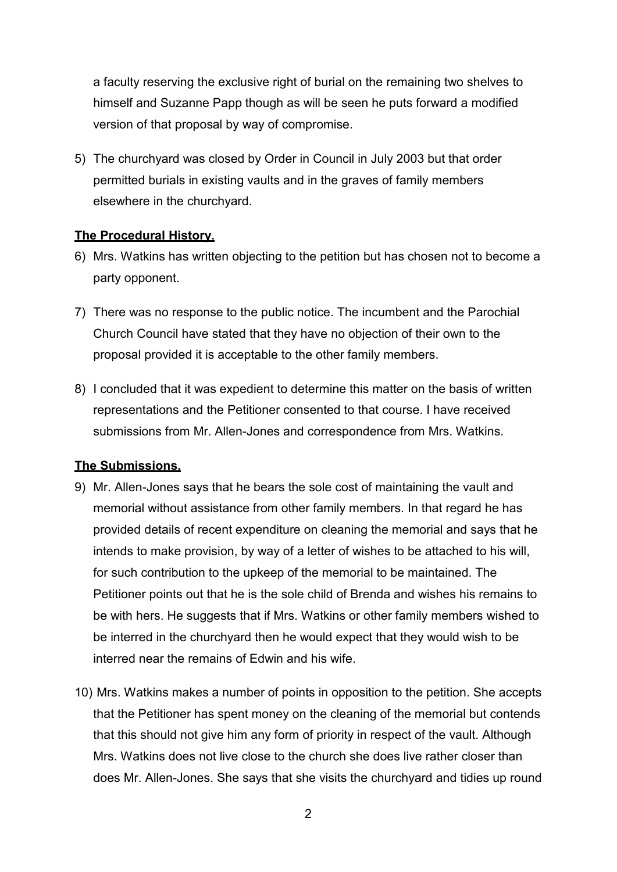a faculty reserving the exclusive right of burial on the remaining two shelves to himself and Suzanne Papp though as will be seen he puts forward a modified version of that proposal by way of compromise.

5) The churchyard was closed by Order in Council in July 2003 but that order permitted burials in existing vaults and in the graves of family members elsewhere in the churchyard.

### **The Procedural History.**

- 6) Mrs. Watkins has written objecting to the petition but has chosen not to become a party opponent.
- 7) There was no response to the public notice. The incumbent and the Parochial Church Council have stated that they have no objection of their own to the proposal provided it is acceptable to the other family members.
- 8) I concluded that it was expedient to determine this matter on the basis of written representations and the Petitioner consented to that course. I have received submissions from Mr. Allen-Jones and correspondence from Mrs. Watkins.

### **The Submissions.**

- 9) Mr. Allen-Jones says that he bears the sole cost of maintaining the vault and memorial without assistance from other family members. In that regard he has provided details of recent expenditure on cleaning the memorial and says that he intends to make provision, by way of a letter of wishes to be attached to his will, for such contribution to the upkeep of the memorial to be maintained. The Petitioner points out that he is the sole child of Brenda and wishes his remains to be with hers. He suggests that if Mrs. Watkins or other family members wished to be interred in the churchyard then he would expect that they would wish to be interred near the remains of Edwin and his wife.
- 10) Mrs. Watkins makes a number of points in opposition to the petition. She accepts that the Petitioner has spent money on the cleaning of the memorial but contends that this should not give him any form of priority in respect of the vault. Although Mrs. Watkins does not live close to the church she does live rather closer than does Mr. Allen-Jones. She says that she visits the churchyard and tidies up round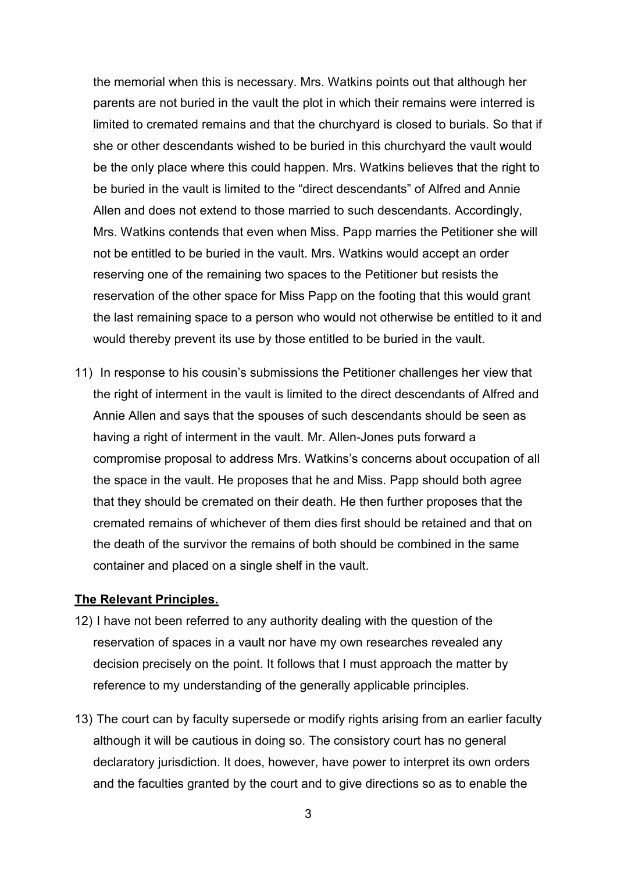the memorial when this is necessary. Mrs. Watkins points out that although her parents are not buried in the vault the plot in which their remains were interred is limited to cremated remains and that the churchyard is closed to burials. So that if she or other descendants wished to be buried in this churchyard the vault would be the only place where this could happen. Mrs. Watkins believes that the right to be buried in the vault is limited to the "direct descendants" of Alfred and Annie Allen and does not extend to those married to such descendants. Accordingly, Mrs. Watkins contends that even when Miss. Papp marries the Petitioner she will not be entitled to be buried in the vault. Mrs. Watkins would accept an order reserving one of the remaining two spaces to the Petitioner but resists the reservation of the other space for Miss Papp on the footing that this would grant the last remaining space to a person who would not otherwise be entitled to it and would thereby prevent its use by those entitled to be buried in the vault.

11) In response to his cousin's submissions the Petitioner challenges her view that the right of interment in the vault is limited to the direct descendants of Alfred and Annie Allen and says that the spouses of such descendants should be seen as having a right of interment in the vault. Mr. Allen-Jones puts forward a compromise proposal to address Mrs. Watkins's concerns about occupation of all the space in the vault. He proposes that he and Miss. Papp should both agree that they should be cremated on their death. He then further proposes that the cremated remains of whichever of them dies first should be retained and that on the death of the survivor the remains of both should be combined in the same container and placed on a single shelf in the vault.

#### **The Relevant Principles.**

- 12) I have not been referred to any authority dealing with the question of the reservation of spaces in a vault nor have my own researches revealed any decision precisely on the point. It follows that I must approach the matter by reference to my understanding of the generally applicable principles.
- 13) The court can by faculty supersede or modify rights arising from an earlier faculty although it will be cautious in doing so. The consistory court has no general declaratory jurisdiction. It does, however, have power to interpret its own orders and the faculties granted by the court and to give directions so as to enable the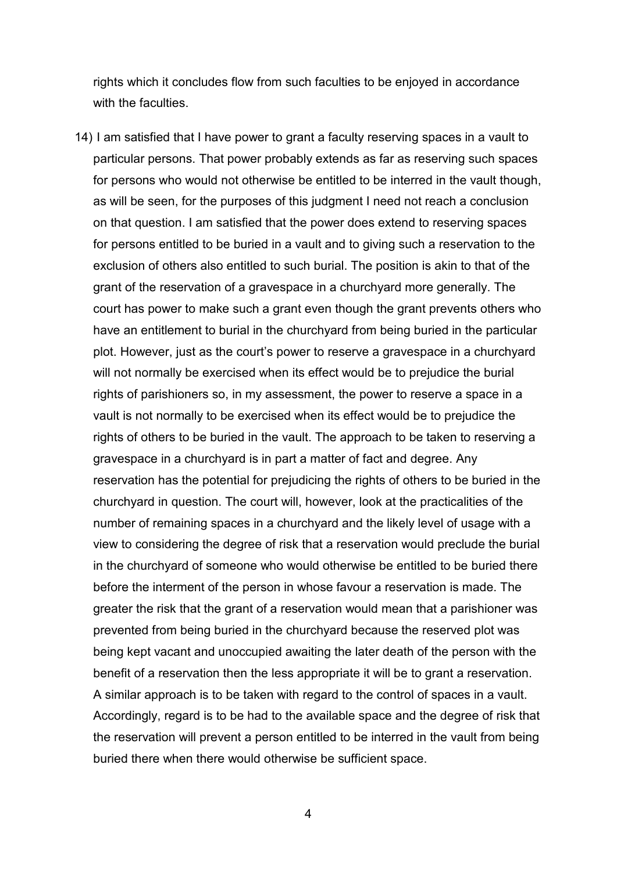rights which it concludes flow from such faculties to be enjoyed in accordance with the faculties.

14) I am satisfied that I have power to grant a faculty reserving spaces in a vault to particular persons. That power probably extends as far as reserving such spaces for persons who would not otherwise be entitled to be interred in the vault though, as will be seen, for the purposes of this judgment I need not reach a conclusion on that question. I am satisfied that the power does extend to reserving spaces for persons entitled to be buried in a vault and to giving such a reservation to the exclusion of others also entitled to such burial. The position is akin to that of the grant of the reservation of a gravespace in a churchyard more generally. The court has power to make such a grant even though the grant prevents others who have an entitlement to burial in the churchyard from being buried in the particular plot. However, just as the court's power to reserve a gravespace in a churchyard will not normally be exercised when its effect would be to prejudice the burial rights of parishioners so, in my assessment, the power to reserve a space in a vault is not normally to be exercised when its effect would be to prejudice the rights of others to be buried in the vault. The approach to be taken to reserving a gravespace in a churchyard is in part a matter of fact and degree. Any reservation has the potential for prejudicing the rights of others to be buried in the churchyard in question. The court will, however, look at the practicalities of the number of remaining spaces in a churchyard and the likely level of usage with a view to considering the degree of risk that a reservation would preclude the burial in the churchyard of someone who would otherwise be entitled to be buried there before the interment of the person in whose favour a reservation is made. The greater the risk that the grant of a reservation would mean that a parishioner was prevented from being buried in the churchyard because the reserved plot was being kept vacant and unoccupied awaiting the later death of the person with the benefit of a reservation then the less appropriate it will be to grant a reservation. A similar approach is to be taken with regard to the control of spaces in a vault. Accordingly, regard is to be had to the available space and the degree of risk that the reservation will prevent a person entitled to be interred in the vault from being buried there when there would otherwise be sufficient space.

4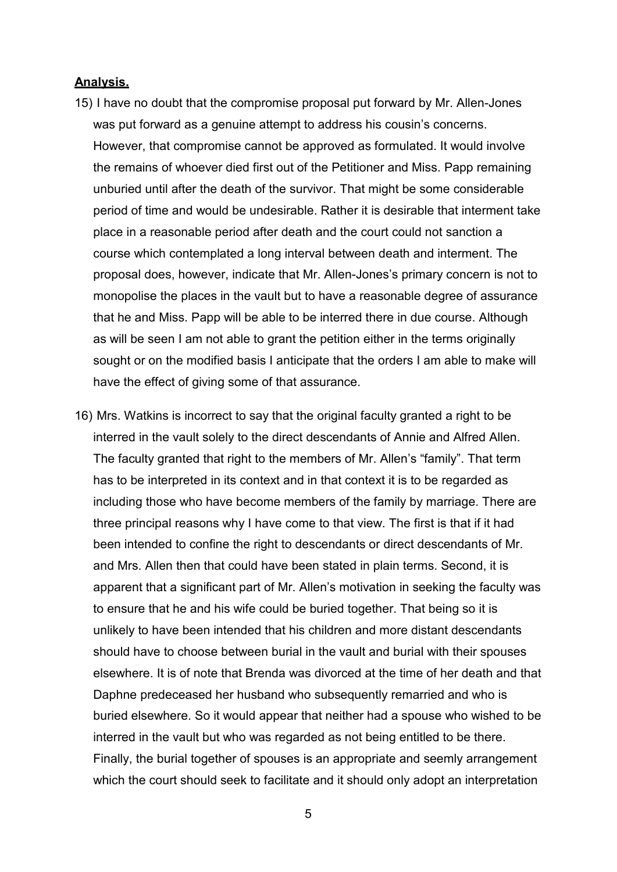### **Analysis.**

- 15) I have no doubt that the compromise proposal put forward by Mr. Allen-Jones was put forward as a genuine attempt to address his cousin's concerns. However, that compromise cannot be approved as formulated. It would involve the remains of whoever died first out of the Petitioner and Miss. Papp remaining unburied until after the death of the survivor. That might be some considerable period of time and would be undesirable. Rather it is desirable that interment take place in a reasonable period after death and the court could not sanction a course which contemplated a long interval between death and interment. The proposal does, however, indicate that Mr. Allen-Jones's primary concern is not to monopolise the places in the vault but to have a reasonable degree of assurance that he and Miss. Papp will be able to be interred there in due course. Although as will be seen I am not able to grant the petition either in the terms originally sought or on the modified basis I anticipate that the orders I am able to make will have the effect of giving some of that assurance.
- 16) Mrs. Watkins is incorrect to say that the original faculty granted a right to be interred in the vault solely to the direct descendants of Annie and Alfred Allen. The faculty granted that right to the members of Mr. Allen's "family". That term has to be interpreted in its context and in that context it is to be regarded as including those who have become members of the family by marriage. There are three principal reasons why I have come to that view. The first is that if it had been intended to confine the right to descendants or direct descendants of Mr. and Mrs. Allen then that could have been stated in plain terms. Second, it is apparent that a significant part of Mr. Allen's motivation in seeking the faculty was to ensure that he and his wife could be buried together. That being so it is unlikely to have been intended that his children and more distant descendants should have to choose between burial in the vault and burial with their spouses elsewhere. It is of note that Brenda was divorced at the time of her death and that Daphne predeceased her husband who subsequently remarried and who is buried elsewhere. So it would appear that neither had a spouse who wished to be interred in the vault but who was regarded as not being entitled to be there. Finally, the burial together of spouses is an appropriate and seemly arrangement which the court should seek to facilitate and it should only adopt an interpretation

5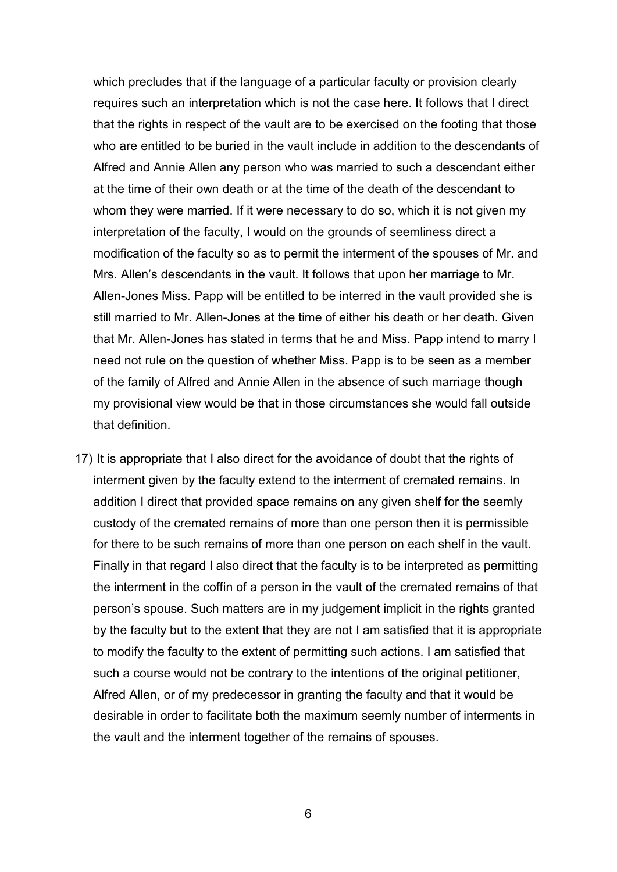which precludes that if the language of a particular faculty or provision clearly requires such an interpretation which is not the case here. It follows that I direct that the rights in respect of the vault are to be exercised on the footing that those who are entitled to be buried in the vault include in addition to the descendants of Alfred and Annie Allen any person who was married to such a descendant either at the time of their own death or at the time of the death of the descendant to whom they were married. If it were necessary to do so, which it is not given my interpretation of the faculty, I would on the grounds of seemliness direct a modification of the faculty so as to permit the interment of the spouses of Mr. and Mrs. Allen's descendants in the vault. It follows that upon her marriage to Mr. Allen-Jones Miss. Papp will be entitled to be interred in the vault provided she is still married to Mr. Allen-Jones at the time of either his death or her death. Given that Mr. Allen-Jones has stated in terms that he and Miss. Papp intend to marry I need not rule on the question of whether Miss. Papp is to be seen as a member of the family of Alfred and Annie Allen in the absence of such marriage though my provisional view would be that in those circumstances she would fall outside that definition.

17) It is appropriate that I also direct for the avoidance of doubt that the rights of interment given by the faculty extend to the interment of cremated remains. In addition I direct that provided space remains on any given shelf for the seemly custody of the cremated remains of more than one person then it is permissible for there to be such remains of more than one person on each shelf in the vault. Finally in that regard I also direct that the faculty is to be interpreted as permitting the interment in the coffin of a person in the vault of the cremated remains of that person's spouse. Such matters are in my judgement implicit in the rights granted by the faculty but to the extent that they are not I am satisfied that it is appropriate to modify the faculty to the extent of permitting such actions. I am satisfied that such a course would not be contrary to the intentions of the original petitioner, Alfred Allen, or of my predecessor in granting the faculty and that it would be desirable in order to facilitate both the maximum seemly number of interments in the vault and the interment together of the remains of spouses.

6